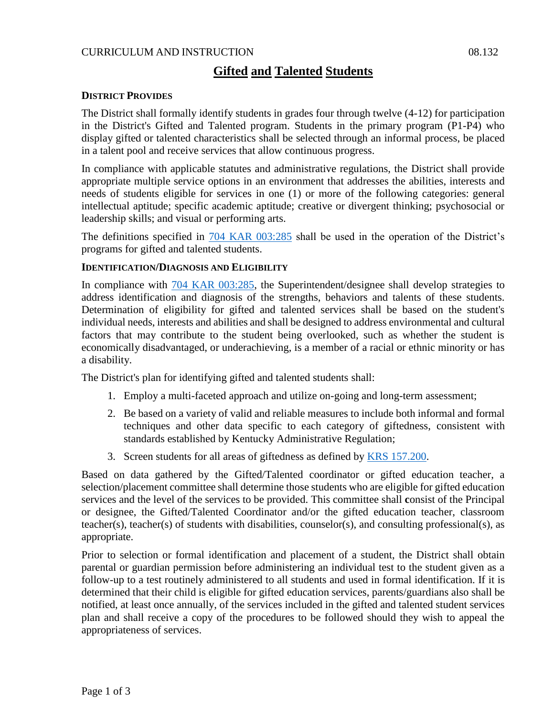# **Gifted and Talented Students**

## **DISTRICT PROVIDES**

The District shall formally identify students in grades four through twelve (4-12) for participation in the District's Gifted and Talented program. Students in the primary program (P1-P4) who display gifted or talented characteristics shall be selected through an informal process, be placed in a talent pool and receive services that allow continuous progress.

In compliance with applicable statutes and administrative regulations, the District shall provide appropriate multiple service options in an environment that addresses the abilities, interests and needs of students eligible for services in one (1) or more of the following categories: general intellectual aptitude; specific academic aptitude; creative or divergent thinking; psychosocial or leadership skills; and visual or performing arts.

The definitions specified in  $704$  KAR  $003:285$  shall be used in the operation of the District's programs for gifted and talented students.

#### **IDENTIFICATION/DIAGNOSIS AND ELIGIBILITY**

In compliance with [704 KAR 003:285,](http://policy.ksba.org/documentmanager.aspx?requestarticle=/kar/704/003/285.htm&requesttype=kar) the Superintendent/designee shall develop strategies to address identification and diagnosis of the strengths, behaviors and talents of these students. Determination of eligibility for gifted and talented services shall be based on the student's individual needs, interests and abilities and shall be designed to address environmental and cultural factors that may contribute to the student being overlooked, such as whether the student is economically disadvantaged, or underachieving, is a member of a racial or ethnic minority or has a disability.

The District's plan for identifying gifted and talented students shall:

- 1. Employ a multi-faceted approach and utilize on-going and long-term assessment;
- 2. Be based on a variety of valid and reliable measures to include both informal and formal techniques and other data specific to each category of giftedness, consistent with standards established by Kentucky Administrative Regulation;
- 3. Screen students for all areas of giftedness as defined by [KRS 157.200.](http://policy.ksba.org/DocumentManager.aspx?requestarticle=/KRS/157-00/200.pdf&requesttype=krs)

Based on data gathered by the Gifted/Talented coordinator or gifted education teacher, a selection/placement committee shall determine those students who are eligible for gifted education services and the level of the services to be provided. This committee shall **c**onsist of the Principal or designee, the Gifted/Talented Coordinator and/or the gifted education teacher, classroom teacher(s), teacher(s) of students with disabilities, counselor(s), and consulting professional(s), as appropriate.

Prior to selection or formal identification and placement of a student, the District shall obtain parental or guardian permission before administering an individual test to the student given as a follow-up to a test routinely administered to all students and used in formal identification. If it is determined that their child is eligible for gifted education services, parents/guardians also shall be notified, at least once annually, of the services included in the gifted and talented student services plan and shall receive a copy of the procedures to be followed should they wish to appeal the appropriateness of services.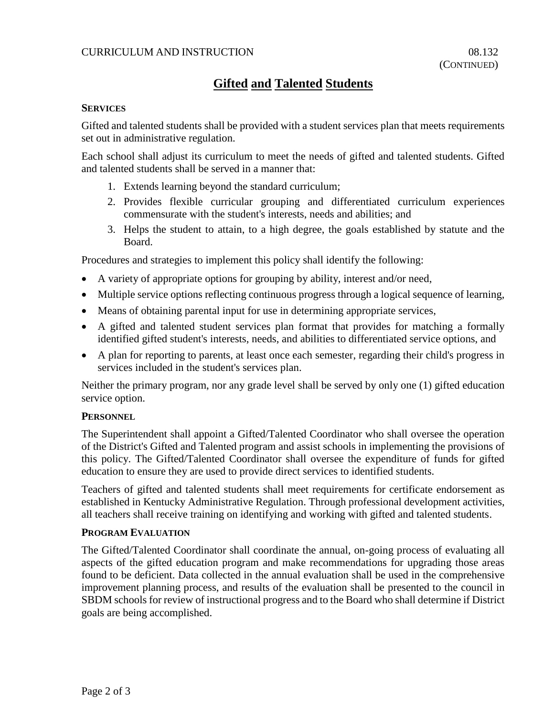## CURRICULUM AND INSTRUCTION 08.132

# **Gifted and Talented Students**

#### **SERVICES**

Gifted and talented students shall be provided with a student services plan that meets requirements set out in administrative regulation.

Each school shall adjust its curriculum to meet the needs of gifted and talented students. Gifted and talented students shall be served in a manner that:

- 1. Extends learning beyond the standard curriculum;
- 2. Provides flexible curricular grouping and differentiated curriculum experiences commensurate with the student's interests, needs and abilities; and
- 3. Helps the student to attain, to a high degree, the goals established by statute and the Board.

Procedures and strategies to implement this policy shall identify the following:

- A variety of appropriate options for grouping by ability, interest and/or need,
- Multiple service options reflecting continuous progress through a logical sequence of learning,
- Means of obtaining parental input for use in determining appropriate services,
- A gifted and talented student services plan format that provides for matching a formally identified gifted student's interests, needs, and abilities to differentiated service options, and
- A plan for reporting to parents, at least once each semester, regarding their child's progress in services included in the student's services plan.

Neither the primary program, nor any grade level shall be served by only one (1) gifted education service option.

#### **PERSONNEL**

The Superintendent shall appoint a Gifted/Talented Coordinator who shall oversee the operation of the District's Gifted and Talented program and assist schools in implementing the provisions of this policy. The Gifted/Talented Coordinator shall oversee the expenditure of funds for gifted education to ensure they are used to provide direct services to identified students.

Teachers of gifted and talented students shall meet requirements for certificate endorsement as established in Kentucky Administrative Regulation. Through professional development activities, all teachers shall receive training on identifying and working with gifted and talented students.

#### **PROGRAM EVALUATION**

The Gifted/Talented Coordinator shall coordinate the annual, on-going process of evaluating all aspects of the gifted education program and make recommendations for upgrading those areas found to be deficient. Data collected in the annual evaluation shall be used in the comprehensive improvement planning process, and results of the evaluation shall be presented to the council in SBDM schools for review of instructional progress and to the Board who shall determine if District goals are being accomplished.